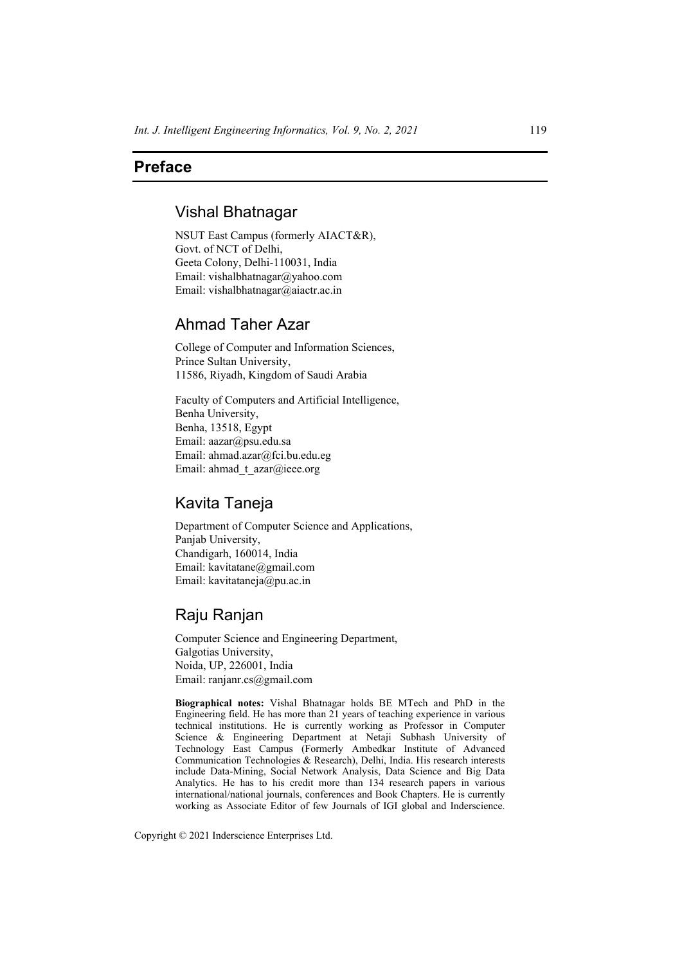# **Preface**

### Vishal Bhatnagar

NSUT East Campus (formerly AIACT&R), Govt. of NCT of Delhi, Geeta Colony, Delhi-110031, India Email: vishalbhatnagar@yahoo.com Email: vishalbhatnagar@aiactr.ac.in

## Ahmad Taher Azar

College of Computer and Information Sciences, Prince Sultan University, 11586, Riyadh, Kingdom of Saudi Arabia

Faculty of Computers and Artificial Intelligence, Benha University, Benha, 13518, Egypt Email: aazar@psu.edu.sa Email: ahmad.azar@fci.bu.edu.eg Email: ahmad t azar@ieee.org

### Kavita Taneja

Department of Computer Science and Applications, Panjab University, Chandigarh, 160014, India Email: kavitatane@gmail.com Email: kavitataneja@pu.ac.in

# Raju Ranjan

Computer Science and Engineering Department, Galgotias University, Noida, UP, 226001, India Email: ranjanr.cs@gmail.com

**Biographical notes:** Vishal Bhatnagar holds BE MTech and PhD in the Engineering field. He has more than 21 years of teaching experience in various technical institutions. He is currently working as Professor in Computer Science & Engineering Department at Netaji Subhash University of Technology East Campus (Formerly Ambedkar Institute of Advanced Communication Technologies & Research), Delhi, India. His research interests include Data-Mining, Social Network Analysis, Data Science and Big Data Analytics. He has to his credit more than 134 research papers in various international/national journals, conferences and Book Chapters. He is currently working as Associate Editor of few Journals of IGI global and Inderscience.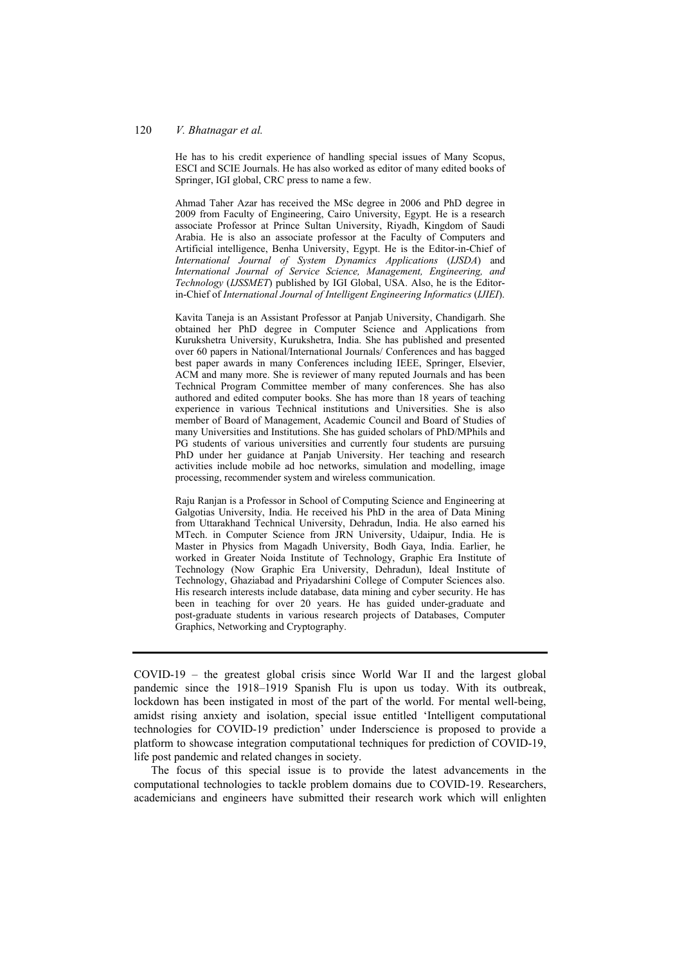#### 120 *V. Bhatnagar et al.*

He has to his credit experience of handling special issues of Many Scopus, ESCI and SCIE Journals. He has also worked as editor of many edited books of Springer, IGI global, CRC press to name a few.

Ahmad Taher Azar has received the MSc degree in 2006 and PhD degree in 2009 from Faculty of Engineering, Cairo University, Egypt. He is a research associate Professor at Prince Sultan University, Riyadh, Kingdom of Saudi Arabia. He is also an associate professor at the Faculty of Computers and Artificial intelligence, Benha University, Egypt. He is the Editor-in-Chief of *International Journal of System Dynamics Applications* (*IJSDA*) and *International Journal of Service Science, Management, Engineering, and Technology* (*IJSSMET*) published by IGI Global, USA. Also, he is the Editorin-Chief of *International Journal of Intelligent Engineering Informatics* (*IJIEI*).

Kavita Taneja is an Assistant Professor at Panjab University, Chandigarh. She obtained her PhD degree in Computer Science and Applications from Kurukshetra University, Kurukshetra, India. She has published and presented over 60 papers in National/International Journals/ Conferences and has bagged best paper awards in many Conferences including IEEE, Springer, Elsevier, ACM and many more. She is reviewer of many reputed Journals and has been Technical Program Committee member of many conferences. She has also authored and edited computer books. She has more than 18 years of teaching experience in various Technical institutions and Universities. She is also member of Board of Management, Academic Council and Board of Studies of many Universities and Institutions. She has guided scholars of PhD/MPhils and PG students of various universities and currently four students are pursuing PhD under her guidance at Panjab University. Her teaching and research activities include mobile ad hoc networks, simulation and modelling, image processing, recommender system and wireless communication.

Raju Ranjan is a Professor in School of Computing Science and Engineering at Galgotias University, India. He received his PhD in the area of Data Mining from Uttarakhand Technical University, Dehradun, India. He also earned his MTech. in Computer Science from JRN University, Udaipur, India. He is Master in Physics from Magadh University, Bodh Gaya, India. Earlier, he worked in Greater Noida Institute of Technology, Graphic Era Institute of Technology (Now Graphic Era University, Dehradun), Ideal Institute of Technology, Ghaziabad and Priyadarshini College of Computer Sciences also. His research interests include database, data mining and cyber security. He has been in teaching for over 20 years. He has guided under-graduate and post-graduate students in various research projects of Databases, Computer Graphics, Networking and Cryptography.

 $COVID-19$  – the greatest global crisis since World War II and the largest global pandemic since the 1918–1919 Spanish Flu is upon us today. With its outbreak, lockdown has been instigated in most of the part of the world. For mental well-being, amidst rising anxiety and isolation, special issue entitled 'Intelligent computational technologies for COVID-19 prediction' under Inderscience is proposed to provide a platform to showcase integration computational techniques for prediction of COVID-19, life post pandemic and related changes in society.

The focus of this special issue is to provide the latest advancements in the computational technologies to tackle problem domains due to COVID-19. Researchers, academicians and engineers have submitted their research work which will enlighten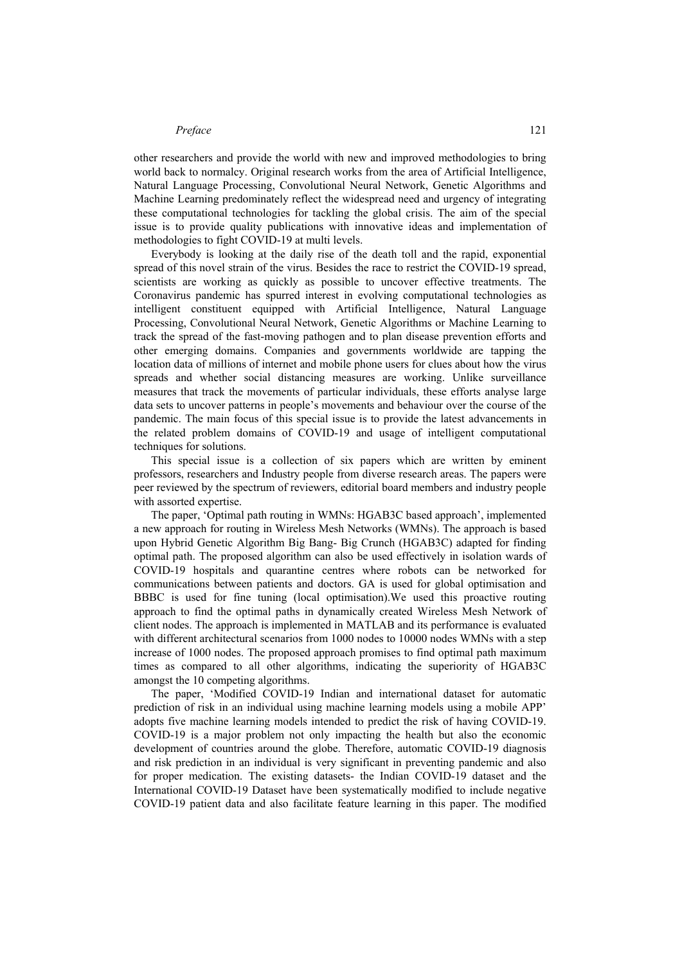#### *Preface* 121

other researchers and provide the world with new and improved methodologies to bring world back to normalcy. Original research works from the area of Artificial Intelligence, Natural Language Processing, Convolutional Neural Network, Genetic Algorithms and Machine Learning predominately reflect the widespread need and urgency of integrating these computational technologies for tackling the global crisis. The aim of the special issue is to provide quality publications with innovative ideas and implementation of methodologies to fight COVID-19 at multi levels.

Everybody is looking at the daily rise of the death toll and the rapid, exponential spread of this novel strain of the virus. Besides the race to restrict the COVID-19 spread, scientists are working as quickly as possible to uncover effective treatments. The Coronavirus pandemic has spurred interest in evolving computational technologies as intelligent constituent equipped with Artificial Intelligence, Natural Language Processing, Convolutional Neural Network, Genetic Algorithms or Machine Learning to track the spread of the fast-moving pathogen and to plan disease prevention efforts and other emerging domains. Companies and governments worldwide are tapping the location data of millions of internet and mobile phone users for clues about how the virus spreads and whether social distancing measures are working. Unlike surveillance measures that track the movements of particular individuals, these efforts analyse large data sets to uncover patterns in people's movements and behaviour over the course of the pandemic. The main focus of this special issue is to provide the latest advancements in the related problem domains of COVID-19 and usage of intelligent computational techniques for solutions.

This special issue is a collection of six papers which are written by eminent professors, researchers and Industry people from diverse research areas. The papers were peer reviewed by the spectrum of reviewers, editorial board members and industry people with assorted expertise.

The paper, 'Optimal path routing in WMNs: HGAB3C based approach', implemented a new approach for routing in Wireless Mesh Networks (WMNs). The approach is based upon Hybrid Genetic Algorithm Big Bang- Big Crunch (HGAB3C) adapted for finding optimal path. The proposed algorithm can also be used effectively in isolation wards of COVID-19 hospitals and quarantine centres where robots can be networked for communications between patients and doctors. GA is used for global optimisation and BBBC is used for fine tuning (local optimisation).We used this proactive routing approach to find the optimal paths in dynamically created Wireless Mesh Network of client nodes. The approach is implemented in MATLAB and its performance is evaluated with different architectural scenarios from 1000 nodes to 10000 nodes WMNs with a step increase of 1000 nodes. The proposed approach promises to find optimal path maximum times as compared to all other algorithms, indicating the superiority of HGAB3C amongst the 10 competing algorithms.

The paper, 'Modified COVID-19 Indian and international dataset for automatic prediction of risk in an individual using machine learning models using a mobile APP' adopts five machine learning models intended to predict the risk of having COVID-19. COVID-19 is a major problem not only impacting the health but also the economic development of countries around the globe. Therefore, automatic COVID-19 diagnosis and risk prediction in an individual is very significant in preventing pandemic and also for proper medication. The existing datasets- the Indian COVID-19 dataset and the International COVID-19 Dataset have been systematically modified to include negative COVID-19 patient data and also facilitate feature learning in this paper. The modified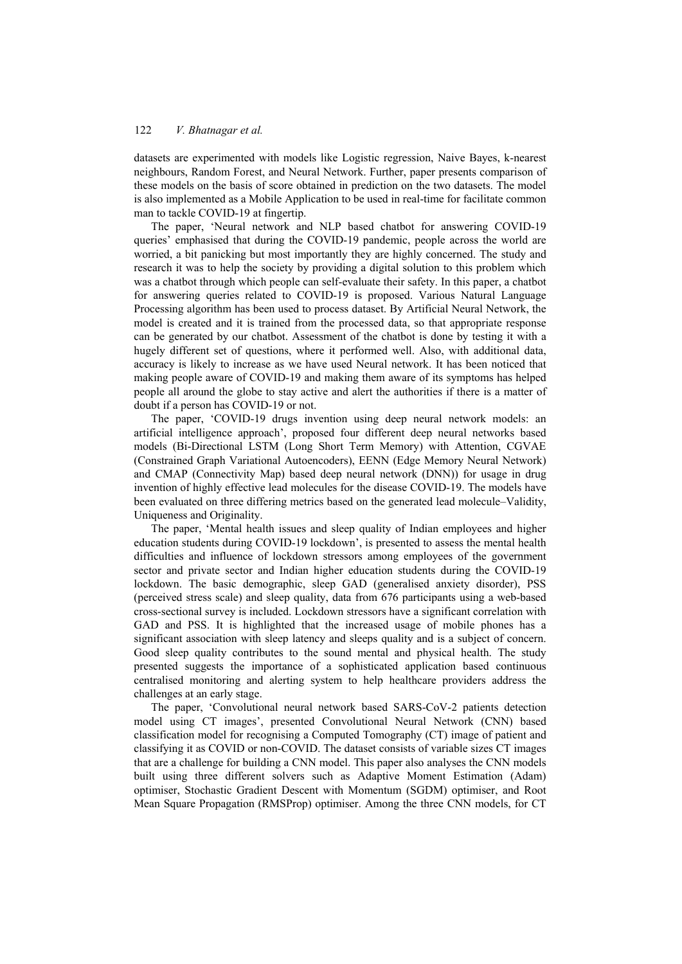datasets are experimented with models like Logistic regression, Naive Bayes, k-nearest neighbours, Random Forest, and Neural Network. Further, paper presents comparison of these models on the basis of score obtained in prediction on the two datasets. The model is also implemented as a Mobile Application to be used in real-time for facilitate common man to tackle COVID-19 at fingertip.

The paper, 'Neural network and NLP based chatbot for answering COVID-19 queries' emphasised that during the COVID-19 pandemic, people across the world are worried, a bit panicking but most importantly they are highly concerned. The study and research it was to help the society by providing a digital solution to this problem which was a chatbot through which people can self-evaluate their safety. In this paper, a chatbot for answering queries related to COVID-19 is proposed. Various Natural Language Processing algorithm has been used to process dataset. By Artificial Neural Network, the model is created and it is trained from the processed data, so that appropriate response can be generated by our chatbot. Assessment of the chatbot is done by testing it with a hugely different set of questions, where it performed well. Also, with additional data, accuracy is likely to increase as we have used Neural network. It has been noticed that making people aware of COVID-19 and making them aware of its symptoms has helped people all around the globe to stay active and alert the authorities if there is a matter of doubt if a person has COVID-19 or not.

The paper, 'COVID-19 drugs invention using deep neural network models: an artificial intelligence approach', proposed four different deep neural networks based models (Bi-Directional LSTM (Long Short Term Memory) with Attention, CGVAE (Constrained Graph Variational Autoencoders), EENN (Edge Memory Neural Network) and CMAP (Connectivity Map) based deep neural network (DNN)) for usage in drug invention of highly effective lead molecules for the disease COVID-19. The models have been evaluated on three differing metrics based on the generated lead molecule–Validity, Uniqueness and Originality.

The paper, 'Mental health issues and sleep quality of Indian employees and higher education students during COVID-19 lockdown', is presented to assess the mental health difficulties and influence of lockdown stressors among employees of the government sector and private sector and Indian higher education students during the COVID-19 lockdown. The basic demographic, sleep GAD (generalised anxiety disorder), PSS (perceived stress scale) and sleep quality, data from 676 participants using a web-based cross-sectional survey is included. Lockdown stressors have a significant correlation with GAD and PSS. It is highlighted that the increased usage of mobile phones has a significant association with sleep latency and sleeps quality and is a subject of concern. Good sleep quality contributes to the sound mental and physical health. The study presented suggests the importance of a sophisticated application based continuous centralised monitoring and alerting system to help healthcare providers address the challenges at an early stage.

The paper, 'Convolutional neural network based SARS-CoV-2 patients detection model using CT images', presented Convolutional Neural Network (CNN) based classification model for recognising a Computed Tomography (CT) image of patient and classifying it as COVID or non-COVID. The dataset consists of variable sizes CT images that are a challenge for building a CNN model. This paper also analyses the CNN models built using three different solvers such as Adaptive Moment Estimation (Adam) optimiser, Stochastic Gradient Descent with Momentum (SGDM) optimiser, and Root Mean Square Propagation (RMSProp) optimiser. Among the three CNN models, for CT